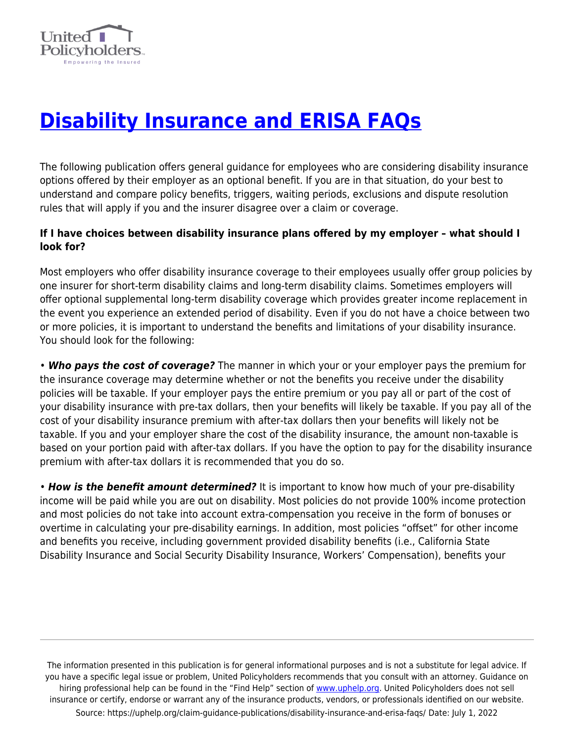

## **[Disability Insurance and ERISA FAQs](https://uphelp.org/claim-guidance-publications/disability-insurance-and-erisa-faqs/)**

The following publication offers general guidance for employees who are considering disability insurance options offered by their employer as an optional benefit. If you are in that situation, do your best to understand and compare policy benefits, triggers, waiting periods, exclusions and dispute resolution rules that will apply if you and the insurer disagree over a claim or coverage.

## **If I have choices between disability insurance plans offered by my employer – what should I look for?**

Most employers who offer disability insurance coverage to their employees usually offer group policies by one insurer for short-term disability claims and long-term disability claims. Sometimes employers will offer optional supplemental long-term disability coverage which provides greater income replacement in the event you experience an extended period of disability. Even if you do not have a choice between two or more policies, it is important to understand the benefits and limitations of your disability insurance. You should look for the following:

• *Who pays the cost of coverage?* The manner in which your or your employer pays the premium for the insurance coverage may determine whether or not the benefits you receive under the disability policies will be taxable. If your employer pays the entire premium or you pay all or part of the cost of your disability insurance with pre-tax dollars, then your benefits will likely be taxable. If you pay all of the cost of your disability insurance premium with after-tax dollars then your benefits will likely not be taxable. If you and your employer share the cost of the disability insurance, the amount non-taxable is based on your portion paid with after-tax dollars. If you have the option to pay for the disability insurance premium with after-tax dollars it is recommended that you do so.

• *How is the benefit amount determined?* It is important to know how much of your pre-disability income will be paid while you are out on disability. Most policies do not provide 100% income protection and most policies do not take into account extra-compensation you receive in the form of bonuses or overtime in calculating your pre-disability earnings. In addition, most policies "offset" for other income and benefits you receive, including government provided disability benefits (i.e., California State Disability Insurance and Social Security Disability Insurance, Workers' Compensation), benefits your

The information presented in this publication is for general informational purposes and is not a substitute for legal advice. If you have a specific legal issue or problem, United Policyholders recommends that you consult with an attorney. Guidance on hiring professional help can be found in the "Find Help" section of [www.uphelp.org.](http://www.uphelp.org/) United Policyholders does not sell insurance or certify, endorse or warrant any of the insurance products, vendors, or professionals identified on our website. Source: https://uphelp.org/claim-guidance-publications/disability-insurance-and-erisa-faqs/ Date: July 1, 2022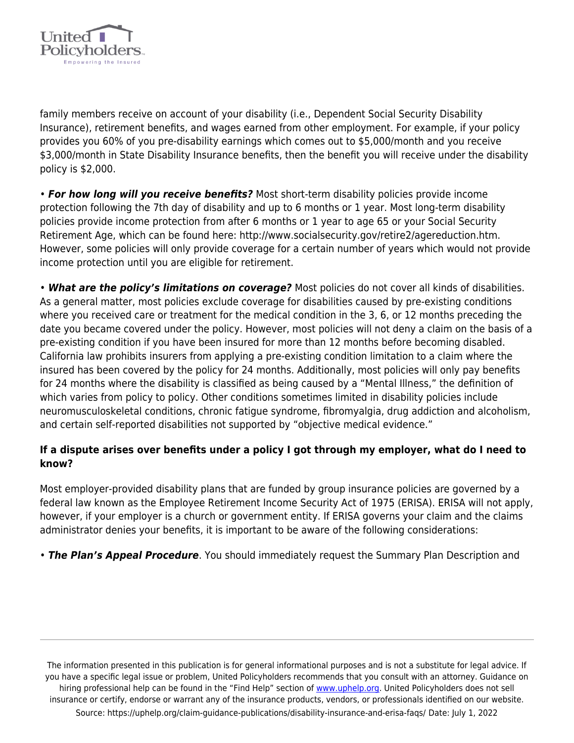

family members receive on account of your disability (i.e., Dependent Social Security Disability Insurance), retirement benefits, and wages earned from other employment. For example, if your policy provides you 60% of you pre-disability earnings which comes out to \$5,000/month and you receive \$3,000/month in State Disability Insurance benefits, then the benefit you will receive under the disability policy is \$2,000.

• *For how long will you receive benefits?* Most short-term disability policies provide income protection following the 7th day of disability and up to 6 months or 1 year. Most long-term disability policies provide income protection from after 6 months or 1 year to age 65 or your Social Security Retirement Age, which can be found here: http://www.socialsecurity.gov/retire2/agereduction.htm. However, some policies will only provide coverage for a certain number of years which would not provide income protection until you are eligible for retirement.

• *What are the policy's limitations on coverage?* Most policies do not cover all kinds of disabilities. As a general matter, most policies exclude coverage for disabilities caused by pre-existing conditions where you received care or treatment for the medical condition in the 3, 6, or 12 months preceding the date you became covered under the policy. However, most policies will not deny a claim on the basis of a pre-existing condition if you have been insured for more than 12 months before becoming disabled. California law prohibits insurers from applying a pre-existing condition limitation to a claim where the insured has been covered by the policy for 24 months. Additionally, most policies will only pay benefits for 24 months where the disability is classified as being caused by a "Mental Illness," the definition of which varies from policy to policy. Other conditions sometimes limited in disability policies include neuromusculoskeletal conditions, chronic fatigue syndrome, fibromyalgia, drug addiction and alcoholism, and certain self-reported disabilities not supported by "objective medical evidence."

## **If a dispute arises over benefits under a policy I got through my employer, what do I need to know?**

Most employer-provided disability plans that are funded by group insurance policies are governed by a federal law known as the Employee Retirement Income Security Act of 1975 (ERISA). ERISA will not apply, however, if your employer is a church or government entity. If ERISA governs your claim and the claims administrator denies your benefits, it is important to be aware of the following considerations:

• *The Plan's Appeal Procedure*. You should immediately request the Summary Plan Description and

The information presented in this publication is for general informational purposes and is not a substitute for legal advice. If you have a specific legal issue or problem, United Policyholders recommends that you consult with an attorney. Guidance on hiring professional help can be found in the "Find Help" section of [www.uphelp.org.](http://www.uphelp.org/) United Policyholders does not sell insurance or certify, endorse or warrant any of the insurance products, vendors, or professionals identified on our website. Source: https://uphelp.org/claim-guidance-publications/disability-insurance-and-erisa-faqs/ Date: July 1, 2022